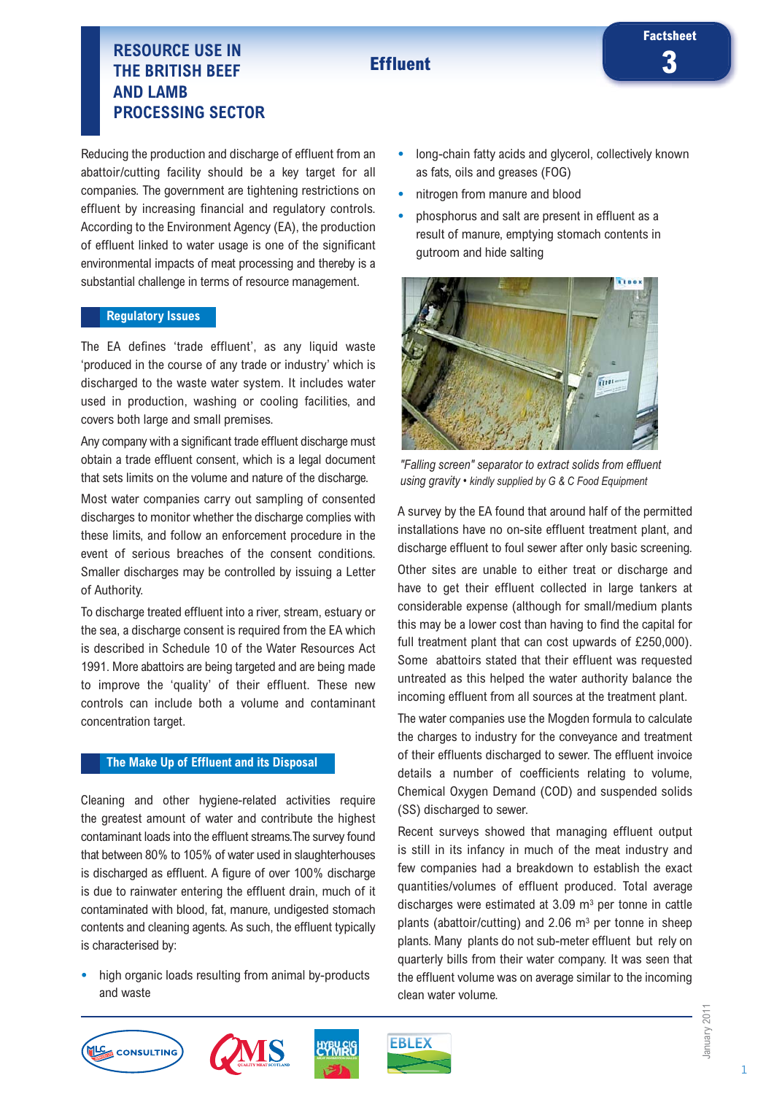# **Effluent**

# **3 RESOURCE USE IN THE BRITISH BEEF AND LAMB PROCESSING SECTOR**

Reducing the production and discharge of effluent from an abattoir/cutting facility should be a key target for all companies. The government are tightening restrictions on effluent by increasing financial and regulatory controls. According to the Environment Agency (EA), the production of effluent linked to water usage is one of the significant environmental impacts of meat processing and thereby is a substantial challenge in terms of resource management.

#### **Regulatory Issues**

The EA defines 'trade effluent', as any liquid waste 'produced in the course of any trade or industry' which is discharged to the waste water system. It includes water used in production, washing or cooling facilities, and covers both large and small premises.

Any company with a significant trade effluent discharge must obtain a trade effluent consent, which is a legal document that sets limits on the volume and nature of the discharge.

Most water companies carry out sampling of consented discharges to monitor whether the discharge complies with these limits, and follow an enforcement procedure in the event of serious breaches of the consent conditions. Smaller discharges may be controlled by issuing a Letter of Authority.

To discharge treated effluent into a river, stream, estuary or the sea, a discharge consent is required from the EA which is described in Schedule 10 of the Water Resources Act 1991. More abattoirs are being targeted and are being made to improve the 'quality' of their effluent. These new controls can include both a volume and contaminant concentration target.

# **The Make Up of Effluent and its Disposal**

Cleaning and other hygiene-related activities require the greatest amount of water and contribute the highest contaminant loads into the effluent streams.The survey found that between 80% to 105% of water used in slaughterhouses is discharged as effluent. A figure of over 100% discharge is due to rainwater entering the effluent drain, much of it contaminated with blood, fat, manure, undigested stomach contents and cleaning agents. As such, the effluent typically is characterised by:

**•** high organic loads resulting from animal by-products and waste

- **•** long-chain fatty acids and glycerol, collectively known as fats, oils and greases (FOG)
- **•** nitrogen from manure and blood
- **•** phosphorus and salt are present in effluent as a result of manure, emptying stomach contents in gutroom and hide salting



*"Falling screen" separator to extract solids from effluent using gravity • kindly supplied by G & C Food Equipment*

A survey by the EA found that around half of the permitted installations have no on-site effluent treatment plant, and discharge effluent to foul sewer after only basic screening. Other sites are unable to either treat or discharge and have to get their effluent collected in large tankers at considerable expense (although for small/medium plants this may be a lower cost than having to find the capital for full treatment plant that can cost upwards of £250,000). Some abattoirs stated that their effluent was requested untreated as this helped the water authority balance the incoming effluent from all sources at the treatment plant.

The water companies use the Mogden formula to calculate the charges to industry for the conveyance and treatment of their effluents discharged to sewer. The effluent invoice details a number of coefficients relating to volume, Chemical Oxygen Demand (COD) and suspended solids (SS) discharged to sewer.

Recent surveys showed that managing effluent output is still in its infancy in much of the meat industry and few companies had a breakdown to establish the exact quantities/volumes of effluent produced. Total average discharges were estimated at  $3.09 \text{ m}^3$  per tonne in cattle plants (abattoir/cutting) and  $2.06$  m<sup>3</sup> per tonne in sheep plants. Many plants do not sub-meter effluent but rely on quarterly bills from their water company. It was seen that the effluent volume was on average similar to the incoming clean water volume.







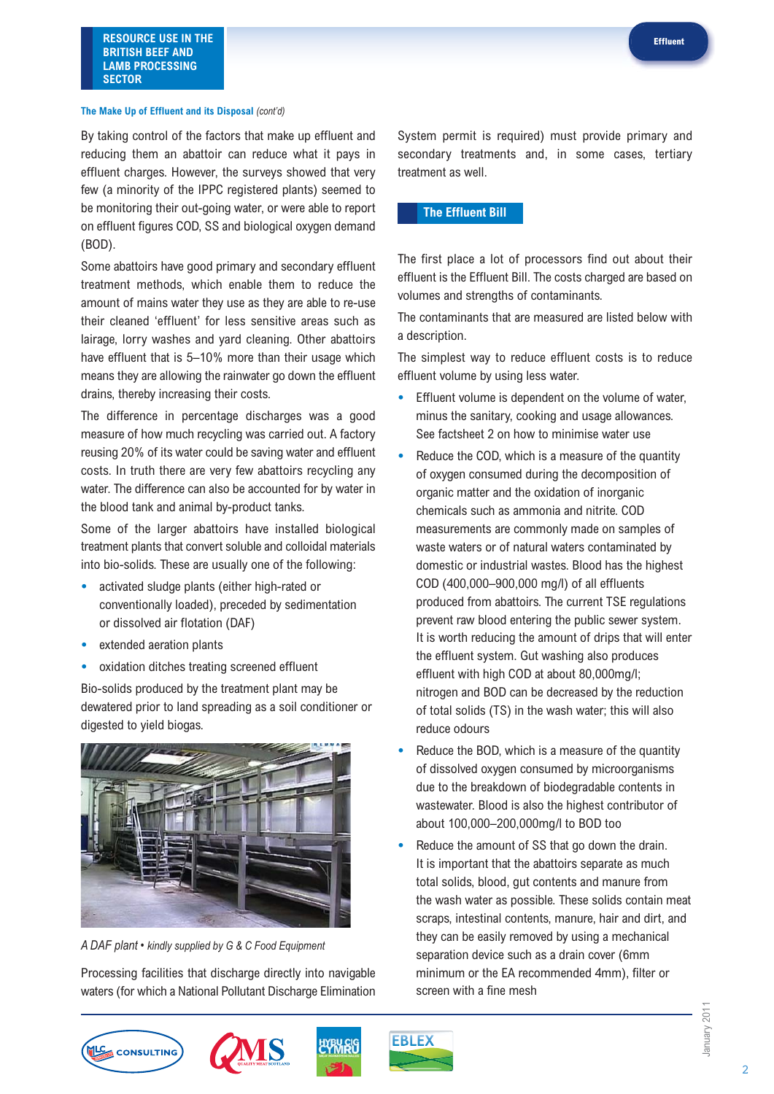**RESOURCE USE IN THE BRITISH BEEF AND LAMB PROCESSING SECTOR**

#### **The Make Up of Effluent and its Disposal** *(cont'd)*

By taking control of the factors that make up effluent and reducing them an abattoir can reduce what it pays in effluent charges. However, the surveys showed that very few (a minority of the IPPC registered plants) seemed to be monitoring their out-going water, or were able to report on effluent figures COD, SS and biological oxygen demand (BOD).

Some abattoirs have good primary and secondary effluent treatment methods, which enable them to reduce the amount of mains water they use as they are able to re-use their cleaned 'effluent' for less sensitive areas such as lairage, lorry washes and yard cleaning. Other abattoirs have effluent that is 5–10% more than their usage which means they are allowing the rainwater go down the effluent drains, thereby increasing their costs.

The difference in percentage discharges was a good measure of how much recycling was carried out. A factory reusing 20% of its water could be saving water and effluent costs. In truth there are very few abattoirs recycling any water. The difference can also be accounted for by water in the blood tank and animal by-product tanks.

Some of the larger abattoirs have installed biological treatment plants that convert soluble and colloidal materials into bio-solids. These are usually one of the following:

- **•** activated sludge plants (either high-rated or conventionally loaded), preceded by sedimentation or dissolved air flotation (DAF)
- **•** extended aeration plants
- **•** oxidation ditches treating screened effluent

Bio-solids produced by the treatment plant may be dewatered prior to land spreading as a soil conditioner or digested to yield biogas.



*A DAF plant • kindly supplied by G & C Food Equipment*

Processing facilities that discharge directly into navigable waters (for which a National Pollutant Discharge Elimination System permit is required) must provide primary and secondary treatments and, in some cases, tertiary treatment as well.

#### **The Effluent Bill**

The first place a lot of processors find out about their effluent is the Effluent Bill. The costs charged are based on volumes and strengths of contaminants.

The contaminants that are measured are listed below with a description.

The simplest way to reduce effluent costs is to reduce effluent volume by using less water.

- **•** Effluent volume is dependent on the volume of water, minus the sanitary, cooking and usage allowances. See factsheet 2 on how to minimise water use
- **•** Reduce the COD, which is a measure of the quantity of oxygen consumed during the decomposition of organic matter and the oxidation of inorganic chemicals such as ammonia and nitrite. COD measurements are commonly made on samples of waste waters or of natural waters contaminated by domestic or industrial wastes. Blood has the highest COD (400,000–900,000 mg/l) of all effluents produced from abattoirs. The current TSE regulations prevent raw blood entering the public sewer system. It is worth reducing the amount of drips that will enter the effluent system. Gut washing also produces effluent with high COD at about 80,000mg/l; nitrogen and BOD can be decreased by the reduction of total solids (TS) in the wash water; this will also reduce odours
- **•** Reduce the BOD, which is a measure of the quantity of dissolved oxygen consumed by microorganisms due to the breakdown of biodegradable contents in wastewater. Blood is also the highest contributor of about 100,000–200,000mg/l to BOD too
- **•** Reduce the amount of SS that go down the drain. It is important that the abattoirs separate as much total solids, blood, gut contents and manure from the wash water as possible. These solids contain meat scraps, intestinal contents, manure, hair and dirt, and they can be easily removed by using a mechanical separation device such as a drain cover (6mm minimum or the EA recommended 4mm), filter or screen with a fine mesh







January 2011

January 201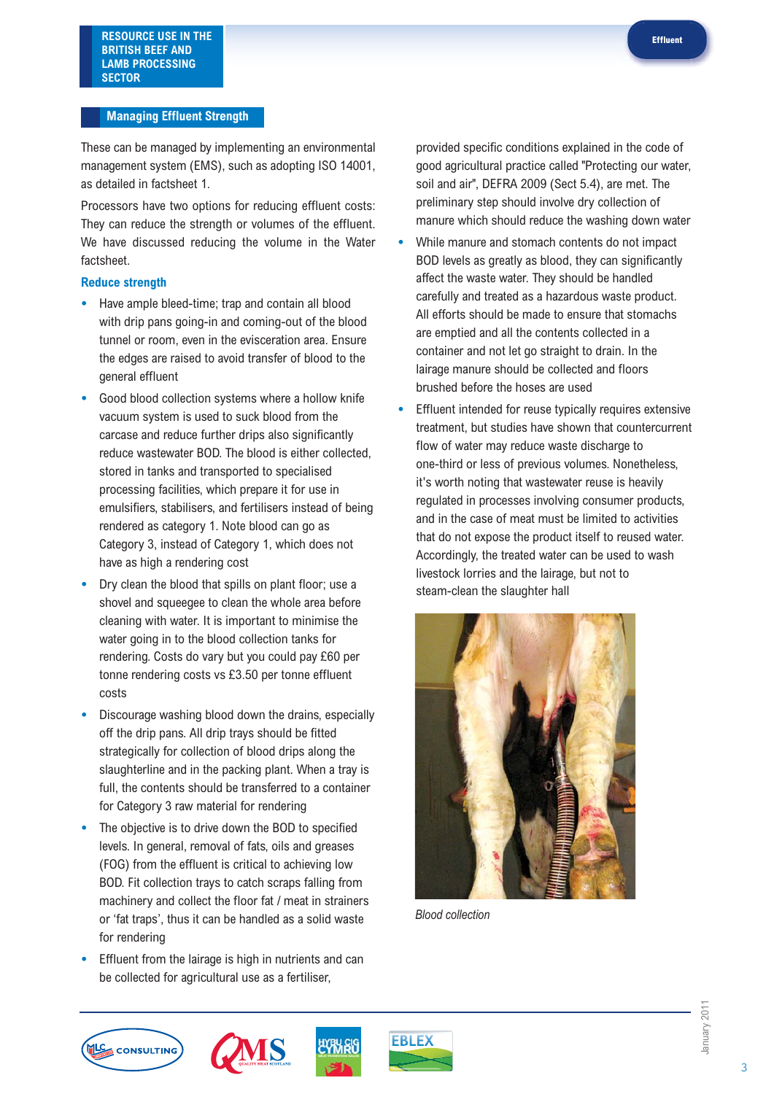### **Managing Effluent Strength**

These can be managed by implementing an environmental management system (EMS), such as adopting ISO 14001, as detailed in factsheet 1.

Processors have two options for reducing effluent costs: They can reduce the strength or volumes of the effluent. We have discussed reducing the volume in the Water factsheet.

## **Reduce strength**

- **•** Have ample bleed-time; trap and contain all blood with drip pans going-in and coming-out of the blood tunnel or room, even in the evisceration area. Ensure the edges are raised to avoid transfer of blood to the general effluent
- **•** Good blood collection systems where a hollow knife vacuum system is used to suck blood from the carcase and reduce further drips also significantly reduce wastewater BOD. The blood is either collected, stored in tanks and transported to specialised processing facilities, which prepare it for use in emulsifiers, stabilisers, and fertilisers instead of being rendered as category 1. Note blood can go as Category 3, instead of Category 1, which does not have as high a rendering cost
- **•** Dry clean the blood that spills on plant floor; use a shovel and squeegee to clean the whole area before cleaning with water. It is important to minimise the water going in to the blood collection tanks for rendering. Costs do vary but you could pay £60 per tonne rendering costs vs £3.50 per tonne effluent costs
- **•** Discourage washing blood down the drains, especially off the drip pans. All drip trays should be fitted strategically for collection of blood drips along the slaughterline and in the packing plant. When a tray is full, the contents should be transferred to a container for Category 3 raw material for rendering
- **•** The objective is to drive down the BOD to specified levels. In general, removal of fats, oils and greases (FOG) from the effluent is critical to achieving low BOD. Fit collection trays to catch scraps falling from machinery and collect the floor fat / meat in strainers or 'fat traps', thus it can be handled as a solid waste for rendering
- **•** Effluent from the lairage is high in nutrients and can be collected for agricultural use as a fertiliser,

provided specific conditions explained in the code of good agricultural practice called "Protecting our water, soil and air", DEFRA 2009 (Sect 5.4), are met. The preliminary step should involve dry collection of manure which should reduce the washing down water

- **•** While manure and stomach contents do not impact BOD levels as greatly as blood, they can significantly affect the waste water. They should be handled carefully and treated as a hazardous waste product. All efforts should be made to ensure that stomachs are emptied and all the contents collected in a container and not let go straight to drain. In the lairage manure should be collected and floors brushed before the hoses are used
- **•** Effluent intended for reuse typically requires extensive treatment, but studies have shown that countercurrent flow of water may reduce waste discharge to one-third or less of previous volumes. Nonetheless, it's worth noting that wastewater reuse is heavily regulated in processes involving consumer products, and in the case of meat must be limited to activities that do not expose the product itself to reused water. Accordingly, the treated water can be used to wash livestock lorries and the lairage, but not to steam-clean the slaughter hall



*Blood collection*







January 2011

anuary 201